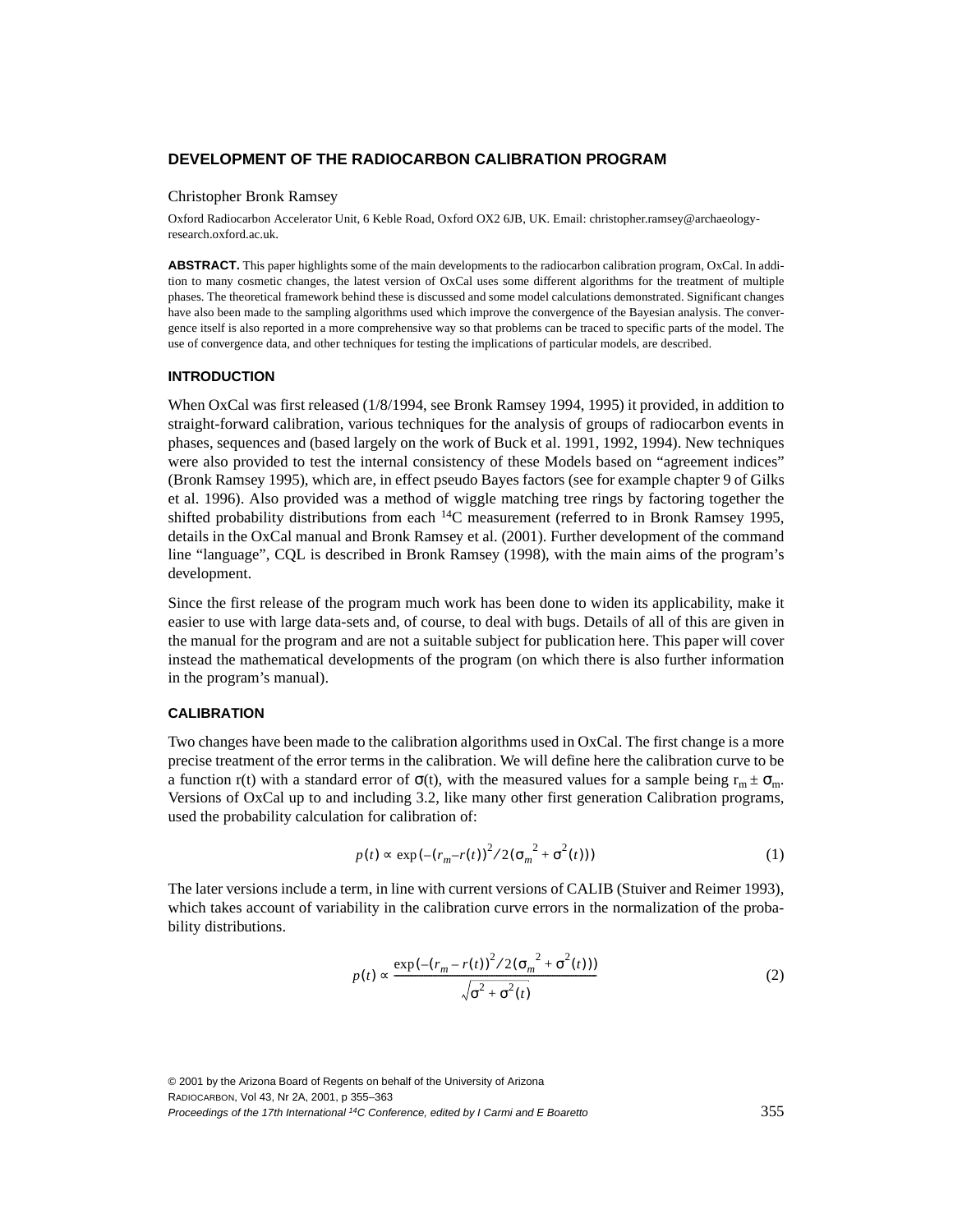#### **DEVELOPMENT OF THE RADIOCARBON CALIBRATION PROGRAM**

#### Christopher Bronk Ramsey

Oxford Radiocarbon Accelerator Unit, 6 Keble Road, Oxford OX2 6JB, UK. Email: christopher.ramsey@archaeologyresearch.oxford.ac.uk.

**ABSTRACT.** This paper highlights some of the main developments to the radiocarbon calibration program, OxCal. In addition to many cosmetic changes, the latest version of OxCal uses some different algorithms for the treatment of multiple phases. The theoretical framework behind these is discussed and some model calculations demonstrated. Significant changes have also been made to the sampling algorithms used which improve the convergence of the Bayesian analysis. The convergence itself is also reported in a more comprehensive way so that problems can be traced to specific parts of the model. The use of convergence data, and other techniques for testing the implications of particular models, are described.

## **INTRODUCTION**

When OxCal was first released (1/8/1994, see Bronk Ramsey 1994, 1995) it provided, in addition to straight-forward calibration, various techniques for the analysis of groups of radiocarbon events in phases, sequences and (based largely on the work of Buck et al. 1991, 1992, 1994). New techniques were also provided to test the internal consistency of these Models based on "agreement indices" (Bronk Ramsey 1995), which are, in effect pseudo Bayes factors (see for example chapter 9 of Gilks et al. 1996). Also provided was a method of wiggle matching tree rings by factoring together the shifted probability distributions from each 14C measurement (referred to in Bronk Ramsey 1995, details in the OxCal manual and Bronk Ramsey et al. (2001). Further development of the command line "language", CQL is described in Bronk Ramsey (1998), with the main aims of the program's development.

Since the first release of the program much work has been done to widen its applicability, make it easier to use with large data-sets and, of course, to deal with bugs. Details of all of this are given in the manual for the program and are not a suitable subject for publication here. This paper will cover instead the mathematical developments of the program (on which there is also further information in the program's manual).

# **CALIBRATION**

Two changes have been made to the calibration algorithms used in OxCal. The first change is a more precise treatment of the error terms in the calibration. We will define here the calibration curve to be a function r(t) with a standard error of  $\sigma(t)$ , with the measured values for a sample being  $r_m \pm \sigma_m$ . Versions of OxCal up to and including 3.2, like many other first generation Calibration programs, used the probability calculation for calibration of:

$$
p(t) \propto \exp(-(r_m - r(t))^2 / 2(\sigma_m^2 + \sigma^2(t)))
$$
 (1)

The later versions include a term, in line with current versions of CALIB (Stuiver and Reimer 1993), which takes account of variability in the calibration curve errors in the normalization of the probability distributions.

$$
p(t) \propto \frac{\exp(-(r_m - r(t))^2 / 2(\sigma_m^2 + \sigma^2(t)))}{\sqrt{\sigma^2 + \sigma^2(t)}}
$$
\n(2)

© 2001 by the Arizona Board of Regents on behalf of the University of Arizona RADIOCARBON, Vol 43, Nr 2A, 2001, p 355–363 Proceedings of the 17th International 14C Conference, edited by I Carmi and E Boaretto 355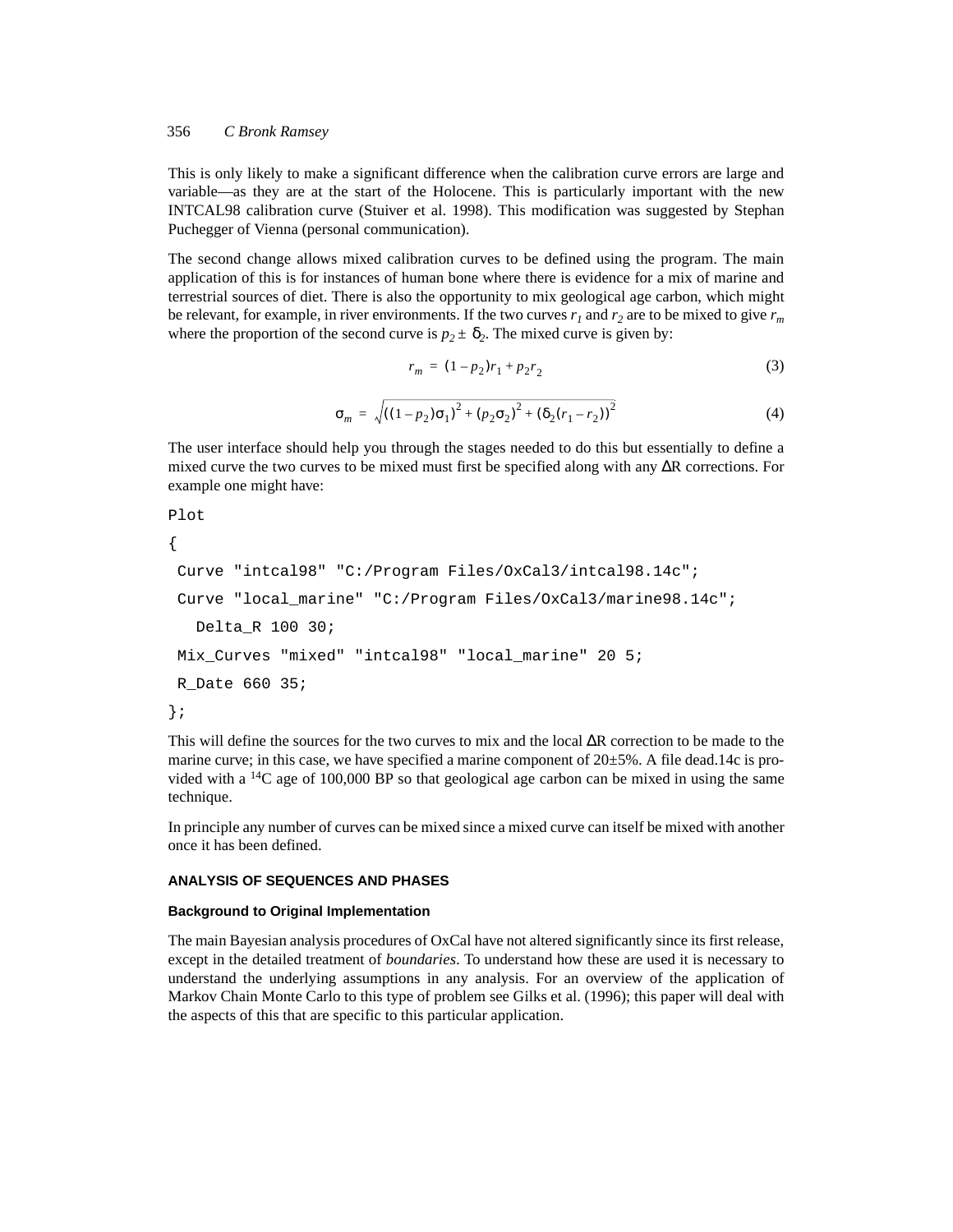#### 356 *C Bronk Ramsey*

This is only likely to make a significant difference when the calibration curve errors are large and variable—as they are at the start of the Holocene. This is particularly important with the new INTCAL98 calibration curve (Stuiver et al. 1998). This modification was suggested by Stephan Puchegger of Vienna (personal communication).

The second change allows mixed calibration curves to be defined using the program. The main application of this is for instances of human bone where there is evidence for a mix of marine and terrestrial sources of diet. There is also the opportunity to mix geological age carbon, which might be relevant, for example, in river environments. If the two curves  $r_1$  and  $r_2$  are to be mixed to give  $r_m$ where the proportion of the second curve is  $p_2 \pm \delta_2$ . The mixed curve is given by:

$$
r_m = (1 - p_2)r_1 + p_2r_2 \tag{3}
$$

$$
\sigma_m = \sqrt{\left((1 - p_2)\sigma_1\right)^2 + \left(p_2\sigma_2\right)^2 + \left(\delta_2(r_1 - r_2)\right)^2} \tag{4}
$$

The user interface should help you through the stages needed to do this but essentially to define a mixed curve the two curves to be mixed must first be specified along with any ∆R corrections. For example one might have:

```
Plot
{
Curve "intcal98" "C:/Program Files/OxCal3/intcal98.14c";
Curve "local_marine" "C:/Program Files/OxCal3/marine98.14c";
  Delta_R 100 30;
Mix_Curves "mixed" "intcal98" "local_marine" 20 5; 
R_Date 660 35;
};
```
This will define the sources for the two curves to mix and the local ∆R correction to be made to the marine curve; in this case, we have specified a marine component of 20±5%. A file dead.14c is provided with a  $^{14}C$  age of 100,000 BP so that geological age carbon can be mixed in using the same technique.

In principle any number of curves can be mixed since a mixed curve can itself be mixed with another once it has been defined.

### **ANALYSIS OF SEQUENCES AND PHASES**

#### **Background to Original Implementation**

The main Bayesian analysis procedures of OxCal have not altered significantly since its first release, except in the detailed treatment of *boundaries*. To understand how these are used it is necessary to understand the underlying assumptions in any analysis. For an overview of the application of Markov Chain Monte Carlo to this type of problem see Gilks et al. (1996); this paper will deal with the aspects of this that are specific to this particular application.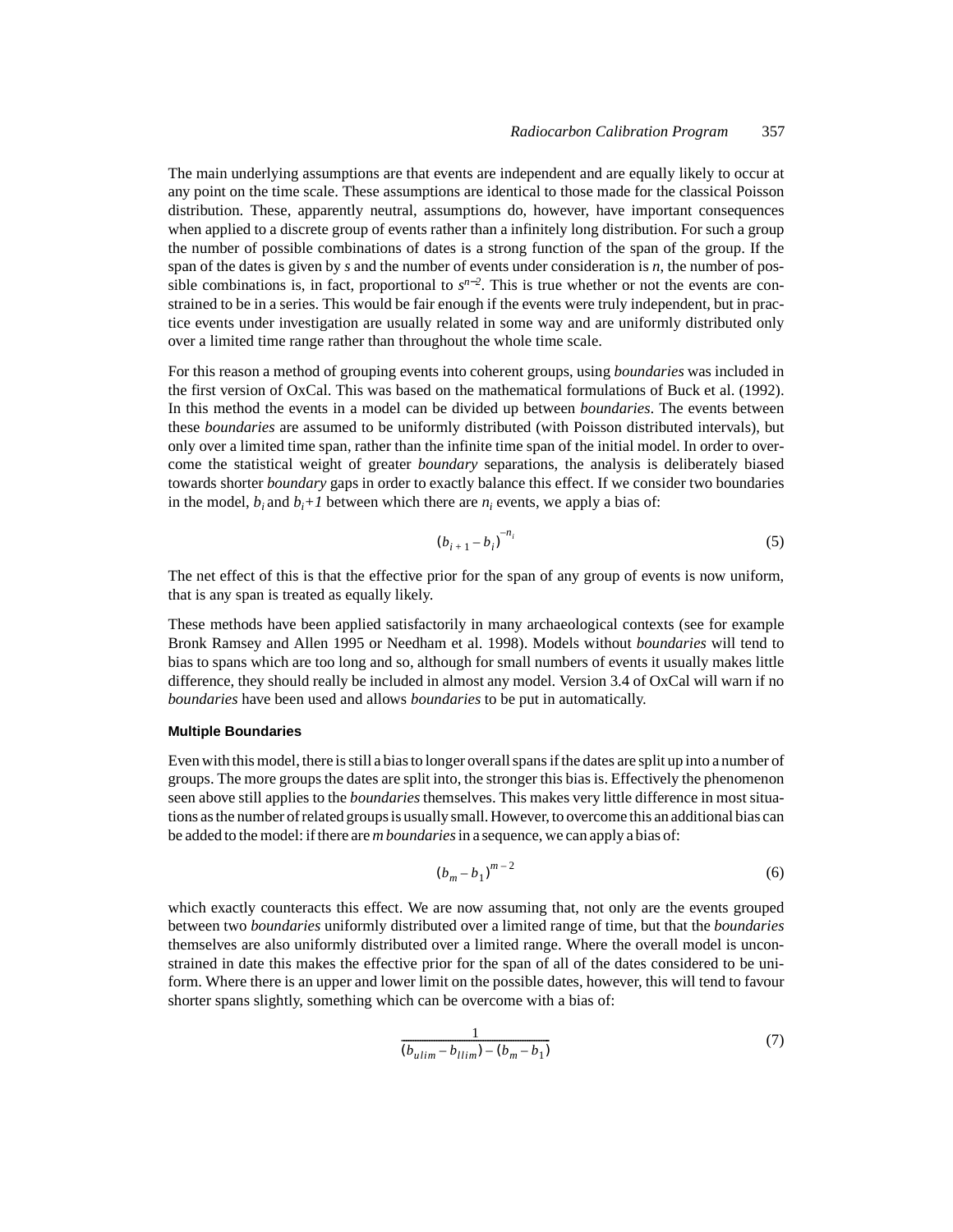The main underlying assumptions are that events are independent and are equally likely to occur at any point on the time scale. These assumptions are identical to those made for the classical Poisson distribution. These, apparently neutral, assumptions do, however, have important consequences when applied to a discrete group of events rather than a infinitely long distribution. For such a group the number of possible combinations of dates is a strong function of the span of the group. If the span of the dates is given by *s* and the number of events under consideration is *n*, the number of possible combinations is, in fact, proportional to  $s^{n-2}$ . This is true whether or not the events are constrained to be in a series. This would be fair enough if the events were truly independent, but in practice events under investigation are usually related in some way and are uniformly distributed only over a limited time range rather than throughout the whole time scale.

For this reason a method of grouping events into coherent groups, using *boundaries* was included in the first version of OxCal. This was based on the mathematical formulations of Buck et al. (1992). In this method the events in a model can be divided up between *boundaries*. The events between these *boundaries* are assumed to be uniformly distributed (with Poisson distributed intervals), but only over a limited time span, rather than the infinite time span of the initial model. In order to overcome the statistical weight of greater *boundary* separations, the analysis is deliberately biased towards shorter *boundary* gaps in order to exactly balance this effect. If we consider two boundaries in the model,  $b_i$  and  $b_i+1$  between which there are  $n_i$  events, we apply a bias of:

$$
(b_{i+1} - b_i)^{-n_i} \tag{5}
$$

The net effect of this is that the effective prior for the span of any group of events is now uniform, that is any span is treated as equally likely.

These methods have been applied satisfactorily in many archaeological contexts (see for example Bronk Ramsey and Allen 1995 or Needham et al. 1998). Models without *boundaries* will tend to bias to spans which are too long and so, although for small numbers of events it usually makes little difference, they should really be included in almost any model. Version 3.4 of OxCal will warn if no *boundaries* have been used and allows *boundaries* to be put in automatically.

#### **Multiple Boundaries**

Even with this model, there is still a bias to longer overall spans if the dates are split up into a number of groups. The more groups the dates are split into, the stronger this bias is. Effectively the phenomenon seen above still applies to the *boundaries* themselves. This makes very little difference in most situations as the number of related groups is usually small. However, to overcome this an additional bias can be added to the model: if there are *m boundaries* in a sequence, we can apply a bias of:

$$
\left(b_m - b_1\right)^{m-2} \tag{6}
$$

which exactly counteracts this effect. We are now assuming that, not only are the events grouped between two *boundaries* uniformly distributed over a limited range of time, but that the *boundaries* themselves are also uniformly distributed over a limited range. Where the overall model is unconstrained in date this makes the effective prior for the span of all of the dates considered to be uniform. Where there is an upper and lower limit on the possible dates, however, this will tend to favour shorter spans slightly, something which can be overcome with a bias of:

$$
\frac{1}{(b_{ulim} - b_{llim}) - (b_m - b_1)}
$$
\n<sup>(7)</sup>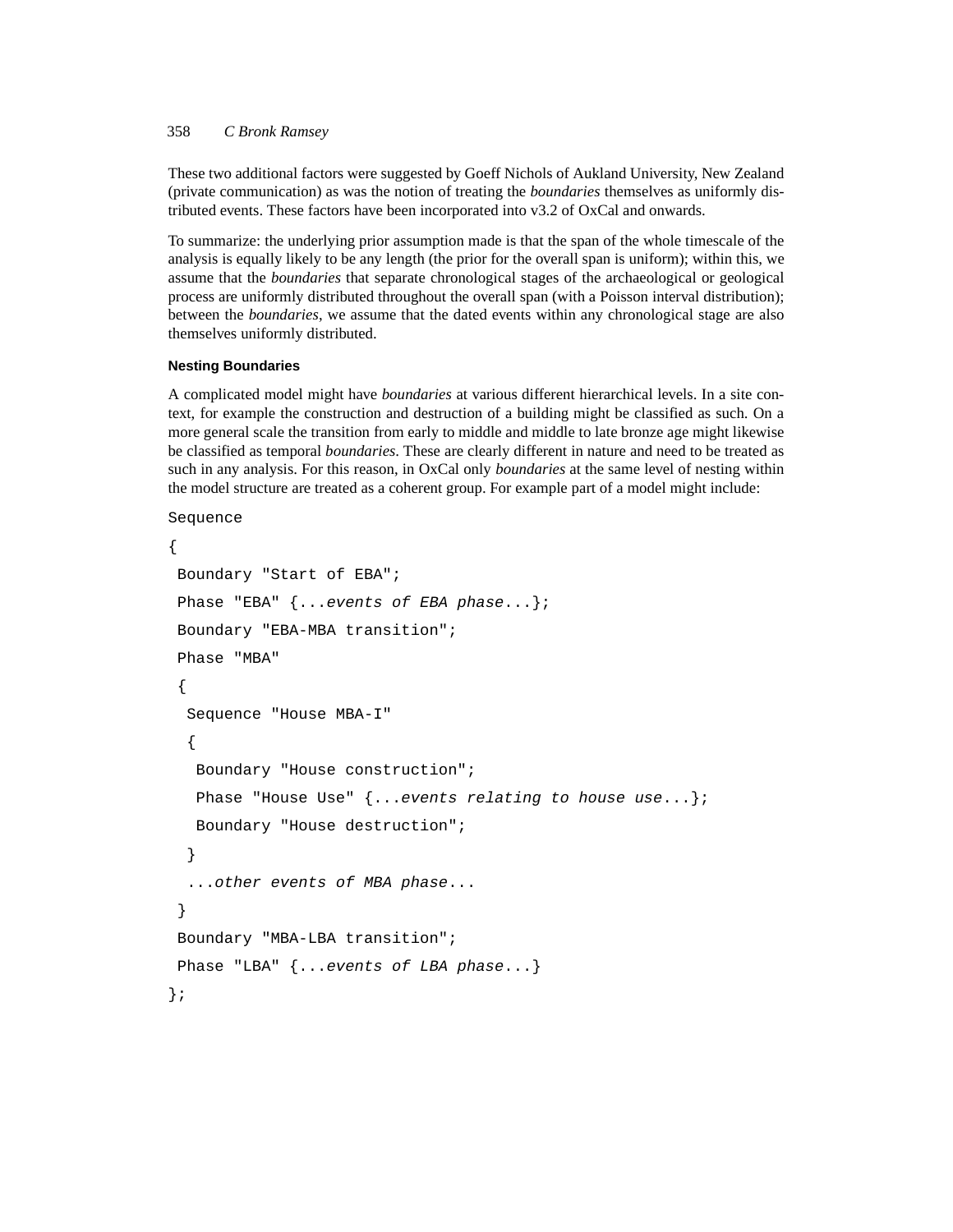## 358 *C Bronk Ramsey*

These two additional factors were suggested by Goeff Nichols of Aukland University, New Zealand (private communication) as was the notion of treating the *boundaries* themselves as uniformly distributed events. These factors have been incorporated into v3.2 of OxCal and onwards.

To summarize: the underlying prior assumption made is that the span of the whole timescale of the analysis is equally likely to be any length (the prior for the overall span is uniform); within this, we assume that the *boundaries* that separate chronological stages of the archaeological or geological process are uniformly distributed throughout the overall span (with a Poisson interval distribution); between the *boundaries*, we assume that the dated events within any chronological stage are also themselves uniformly distributed.

#### **Nesting Boundaries**

A complicated model might have *boundaries* at various different hierarchical levels. In a site context, for example the construction and destruction of a building might be classified as such. On a more general scale the transition from early to middle and middle to late bronze age might likewise be classified as temporal *boundaries*. These are clearly different in nature and need to be treated as such in any analysis. For this reason, in OxCal only *boundaries* at the same level of nesting within the model structure are treated as a coherent group. For example part of a model might include:

```
Sequence
```

```
{
Boundary "Start of EBA";
Phase "EBA" \{ \dots events of EBA phase...};
Boundary "EBA-MBA transition";
 Phase "MBA"
 {
  Sequence "House MBA-I"
  {
   Boundary "House construction";
   Phase "House Use" {...events relating to house use...};
   Boundary "House destruction";
  }
  ...other events of MBA phase...
 }
Boundary "MBA-LBA transition";
Phase "LBA" \{ \dots \text{events of LBA phase} \dots \}};
```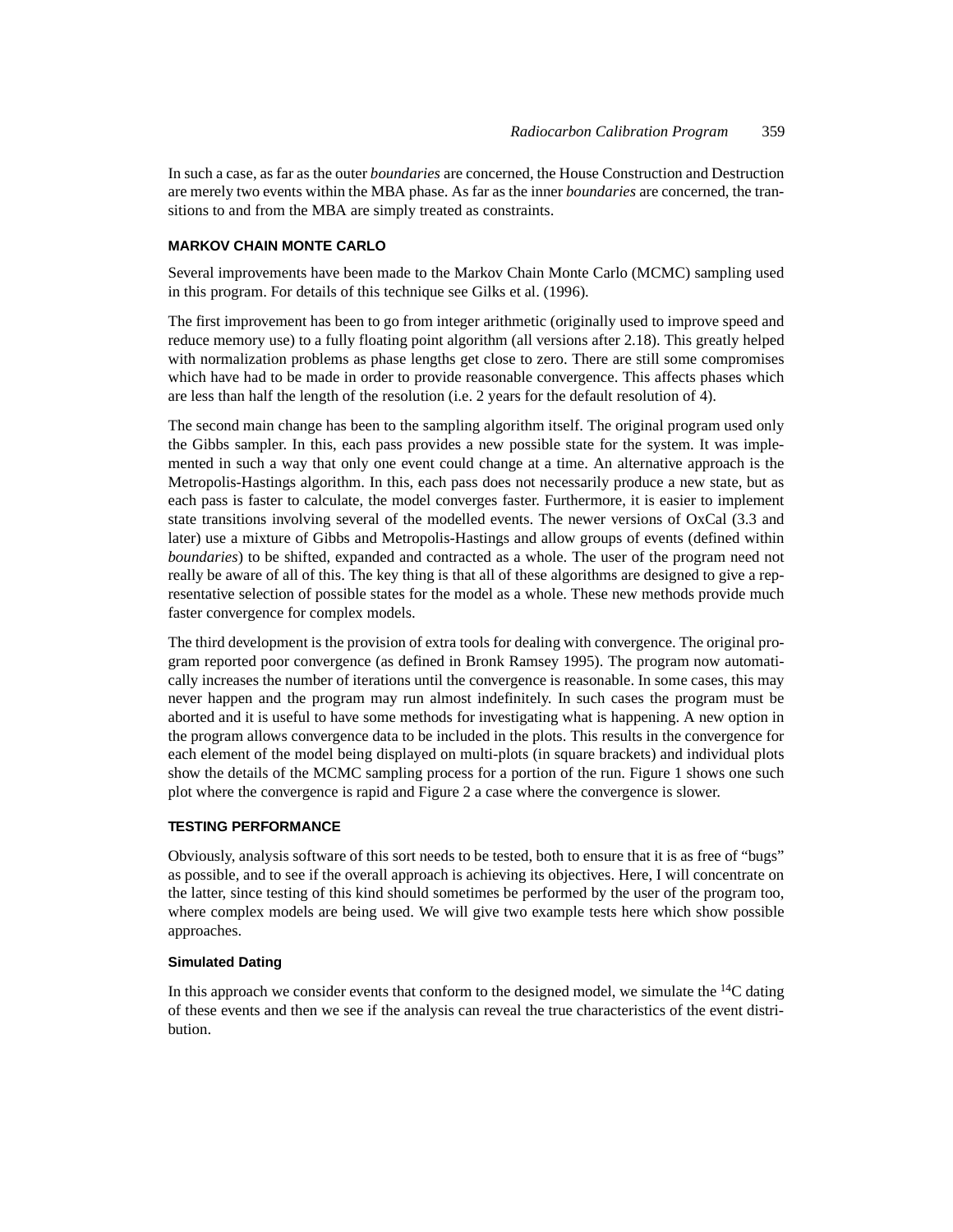In such a case, as far as the outer *boundaries* are concerned, the House Construction and Destruction are merely two events within the MBA phase. As far as the inner *boundaries* are concerned, the transitions to and from the MBA are simply treated as constraints.

## **MARKOV CHAIN MONTE CARLO**

Several improvements have been made to the Markov Chain Monte Carlo (MCMC) sampling used in this program. For details of this technique see Gilks et al. (1996).

The first improvement has been to go from integer arithmetic (originally used to improve speed and reduce memory use) to a fully floating point algorithm (all versions after 2.18). This greatly helped with normalization problems as phase lengths get close to zero. There are still some compromises which have had to be made in order to provide reasonable convergence. This affects phases which are less than half the length of the resolution (i.e. 2 years for the default resolution of 4).

The second main change has been to the sampling algorithm itself. The original program used only the Gibbs sampler. In this, each pass provides a new possible state for the system. It was implemented in such a way that only one event could change at a time. An alternative approach is the Metropolis-Hastings algorithm. In this, each pass does not necessarily produce a new state, but as each pass is faster to calculate, the model converges faster. Furthermore, it is easier to implement state transitions involving several of the modelled events. The newer versions of OxCal (3.3 and later) use a mixture of Gibbs and Metropolis-Hastings and allow groups of events (defined within *boundaries*) to be shifted, expanded and contracted as a whole. The user of the program need not really be aware of all of this. The key thing is that all of these algorithms are designed to give a representative selection of possible states for the model as a whole. These new methods provide much faster convergence for complex models.

The third development is the provision of extra tools for dealing with convergence. The original program reported poor convergence (as defined in Bronk Ramsey 1995). The program now automatically increases the number of iterations until the convergence is reasonable. In some cases, this may never happen and the program may run almost indefinitely. In such cases the program must be aborted and it is useful to have some methods for investigating what is happening. A new option in the program allows convergence data to be included in the plots. This results in the convergence for each element of the model being displayed on multi-plots (in square brackets) and individual plots show the details of the MCMC sampling process for a portion of the run. Figure 1 shows one such plot where the convergence is rapid and Figure 2 a case where the convergence is slower.

## **TESTING PERFORMANCE**

Obviously, analysis software of this sort needs to be tested, both to ensure that it is as free of "bugs" as possible, and to see if the overall approach is achieving its objectives. Here, I will concentrate on the latter, since testing of this kind should sometimes be performed by the user of the program too, where complex models are being used. We will give two example tests here which show possible approaches.

## **Simulated Dating**

In this approach we consider events that conform to the designed model, we simulate the  $14C$  dating of these events and then we see if the analysis can reveal the true characteristics of the event distribution.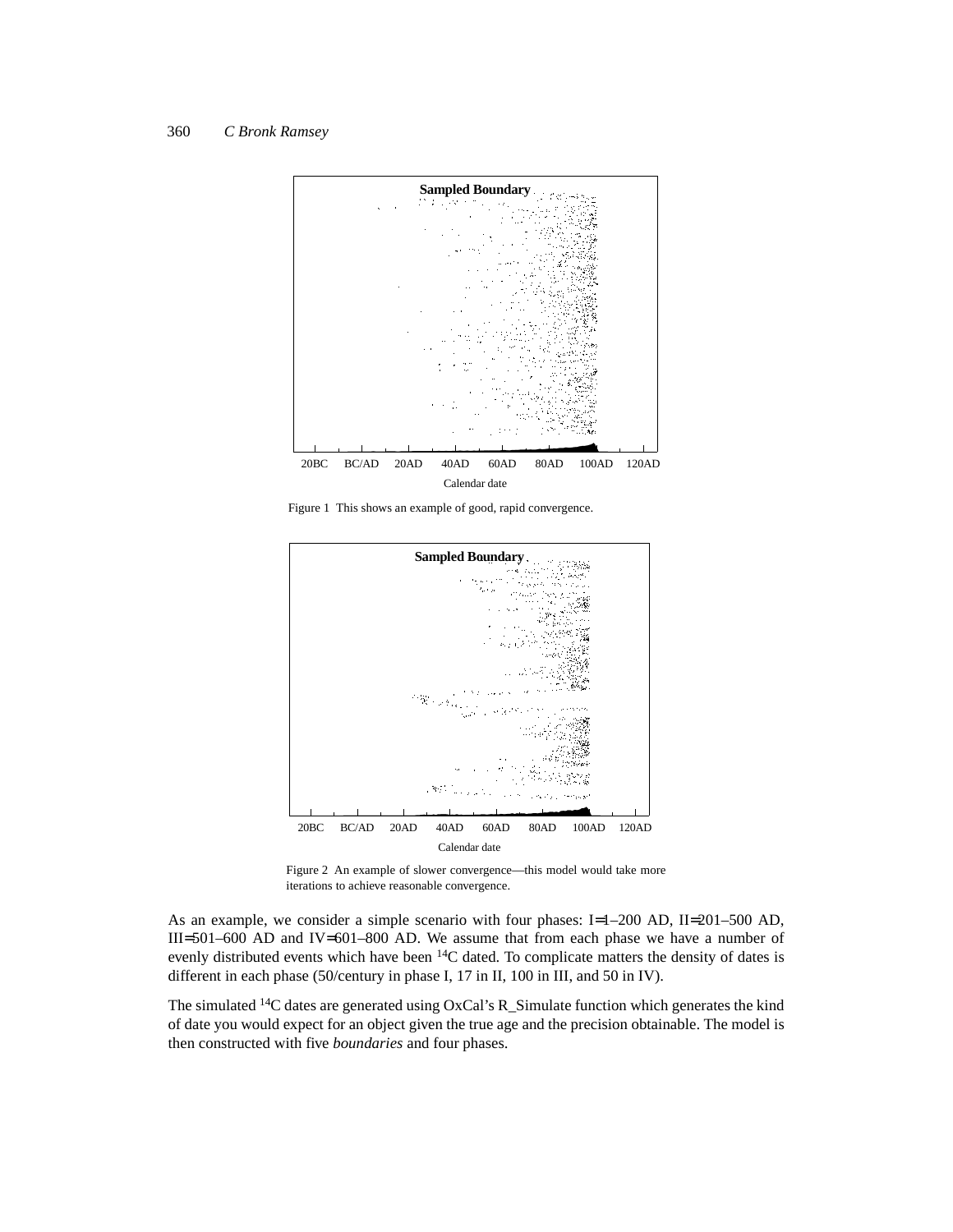

Figure 1 This shows an example of good, rapid convergence.



Figure 2 An example of slower convergence—this model would take more iterations to achieve reasonable convergence.

As an example, we consider a simple scenario with four phases: I=1–200 AD, II=201–500 AD, III=501–600 AD and IV=601–800 AD. We assume that from each phase we have a number of evenly distributed events which have been 14C dated. To complicate matters the density of dates is different in each phase (50/century in phase I, 17 in II, 100 in III, and 50 in IV).

The simulated 14C dates are generated using OxCal's R\_Simulate function which generates the kind of date you would expect for an object given the true age and the precision obtainable. The model is then constructed with five *boundaries* and four phases.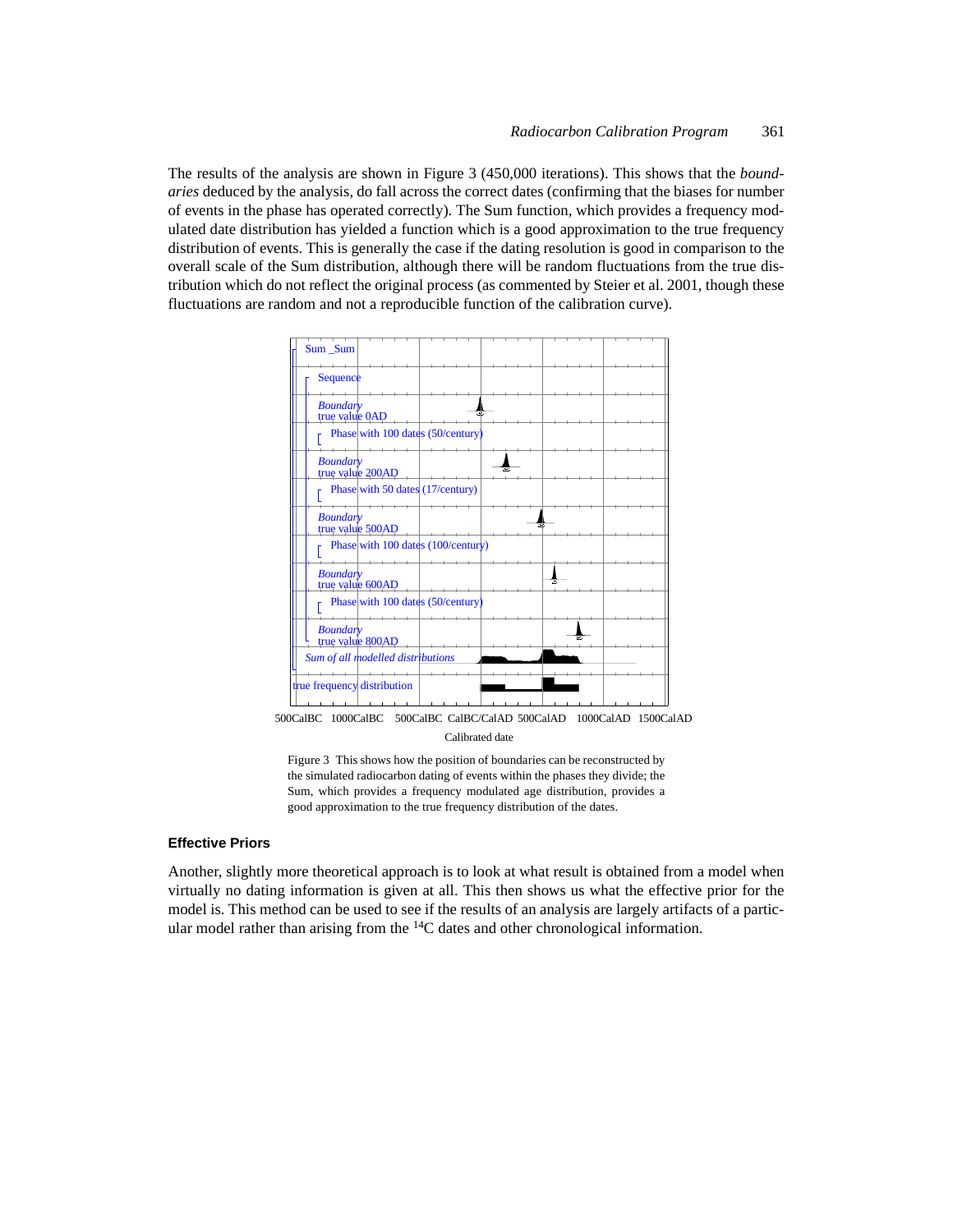The results of the analysis are shown in Figure 3 (450,000 iterations). This shows that the *boundaries* deduced by the analysis, do fall across the correct dates (confirming that the biases for number of events in the phase has operated correctly). The Sum function, which provides a frequency modulated date distribution has yielded a function which is a good approximation to the true frequency distribution of events. This is generally the case if the dating resolution is good in comparison to the overall scale of the Sum distribution, although there will be random fluctuations from the true distribution which do not reflect the original process (as commented by Steier et al. 2001, though these fluctuations are random and not a reproducible function of the calibration curve).



500CalBC 1000CalBC 500CalBC CalBC/CalAD 500CalAD 1000CalAD 1500CalAD Calibrated date

Figure 3 This shows how the position of boundaries can be reconstructed by the simulated radiocarbon dating of events within the phases they divide; the Sum, which provides a frequency modulated age distribution, provides a good approximation to the true frequency distribution of the dates.

## **Effective Priors**

Another, slightly more theoretical approach is to look at what result is obtained from a model when virtually no dating information is given at all. This then shows us what the effective prior for the model is. This method can be used to see if the results of an analysis are largely artifacts of a particular model rather than arising from the <sup>14</sup>C dates and other chronological information.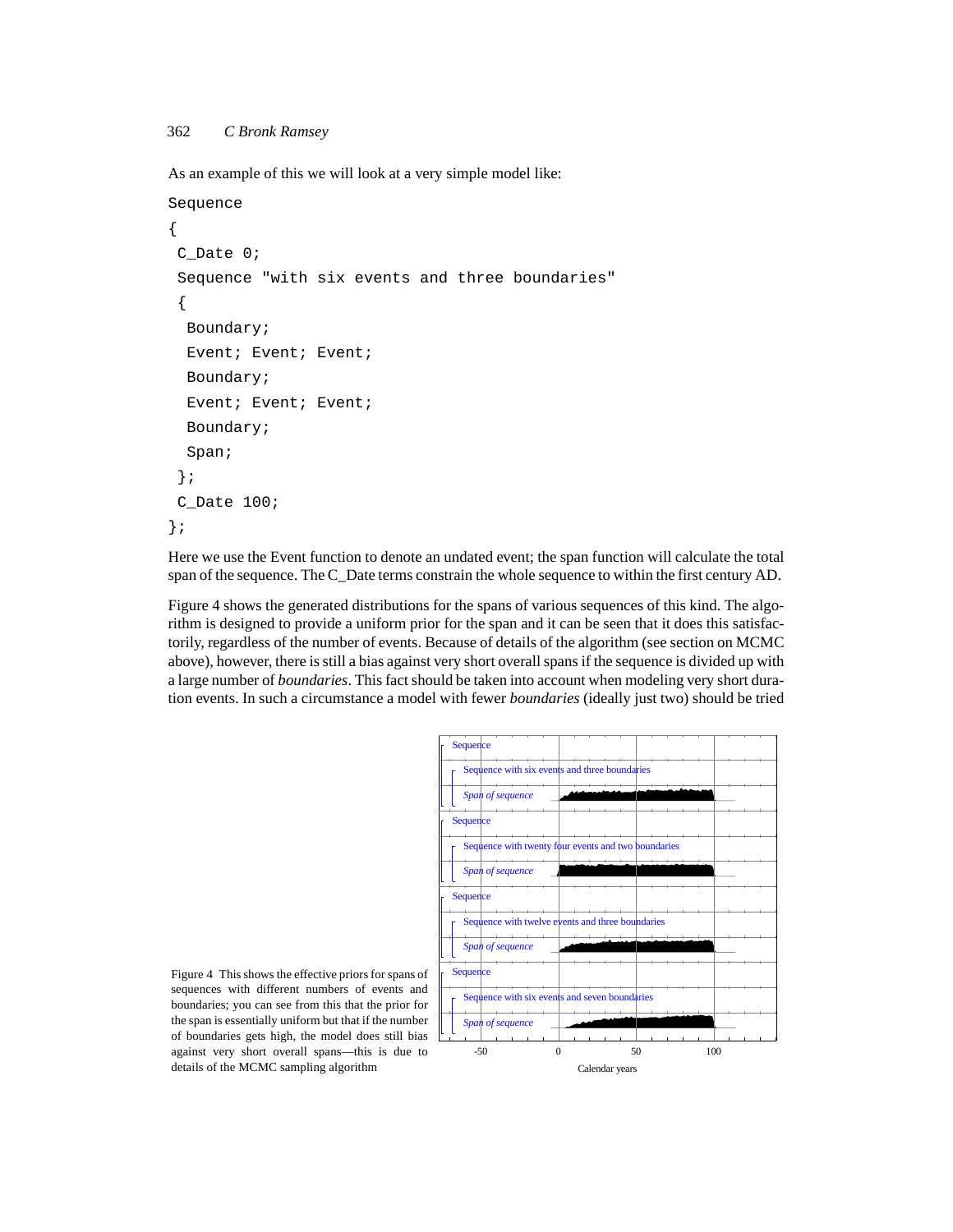As an example of this we will look at a very simple model like:

```
Sequence
{
C_Date 0;
 Sequence "with six events and three boundaries" 
 {
  Boundary;
  Event; Event; Event;
  Boundary;
  Event; Event; Event;
  Boundary;
  Span;
 };
C_Date 100;
};
```
Here we use the Event function to denote an undated event; the span function will calculate the total span of the sequence. The C\_Date terms constrain the whole sequence to within the first century AD.

Figure 4 shows the generated distributions for the spans of various sequences of this kind. The algorithm is designed to provide a uniform prior for the span and it can be seen that it does this satisfactorily, regardless of the number of events. Because of details of the algorithm (see section on MCMC above), however, there is still a bias against very short overall spans if the sequence is divided up with a large number of *boundaries*. This fact should be taken into account when modeling very short duration events. In such a circumstance a model with fewer *boundaries* (ideally just two) should be tried



Figure 4 This shows the effective priors for spans of sequences with different numbers of events and boundaries; you can see from this that the prior for the span is essentially uniform but that if the number of boundaries gets high, the model does still bias against very short overall spans—this is due to details of the MCMC sampling algorithm